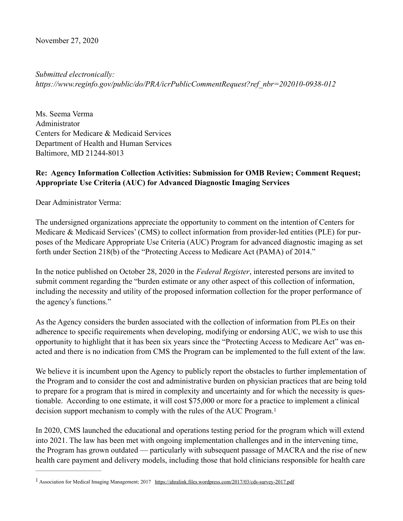November 27, 2020

*Submitted electronically: https://www.reginfo.gov/public/do/PRA/icrPublicCommentRequest?ref\_nbr=202010-0938-012* 

Ms. Seema Verma Administrator Centers for Medicare & Medicaid Services Department of Health and Human Services Baltimore, MD 21244-8013

## **Re: Agency Information Collection Activities: Submission for OMB Review; Comment Request; Appropriate Use Criteria (AUC) for Advanced Diagnostic Imaging Services**

Dear Administrator Verma:

The undersigned organizations appreciate the opportunity to comment on the intention of Centers for Medicare & Medicaid Services' (CMS) to collect information from provider-led entities (PLE) for purposes of the Medicare Appropriate Use Criteria (AUC) Program for advanced diagnostic imaging as set forth under Section 218(b) of the "Protecting Access to Medicare Act (PAMA) of 2014."

In the notice published on October 28, 2020 in the *Federal Register*, interested persons are invited to submit comment regarding the "burden estimate or any other aspect of this collection of information, including the necessity and utility of the proposed information collection for the proper performance of the agency's functions."

As the Agency considers the burden associated with the collection of information from PLEs on their adherence to specific requirements when developing, modifying or endorsing AUC, we wish to use this opportunity to highlight that it has been six years since the "Protecting Access to Medicare Act" was enacted and there is no indication from CMS the Program can be implemented to the full extent of the law.

We believe it is incumbent upon the Agency to publicly report the obstacles to further implementation of the Program and to consider the cost and administrative burden on physician practices that are being told to prepare for a program that is mired in complexity and uncertainty and for which the necessity is questionable. According to one estimate, it will cost \$75,000 or more for a practice to implement a clinical decision support mechanism to comply with the rules of the AUC Program.[1](#page-0-0)

<span id="page-0-1"></span>In 2020, CMS launched the educational and operations testing period for the program which will extend into 2021. The law has been met with ongoing implementation challenges and in the intervening time, the Program has grown outdated — particularly with subsequent passage of MACRA and the rise of new health care payment and delivery models, including those that hold clinicians responsible for health care

<span id="page-0-0"></span><sup>&</sup>lt;sup>1</sup> Association for Medical Imaging Management; 2017 <https://ahralink.files.wordpress.com/2017/03/cds-survey-2017.pdf>